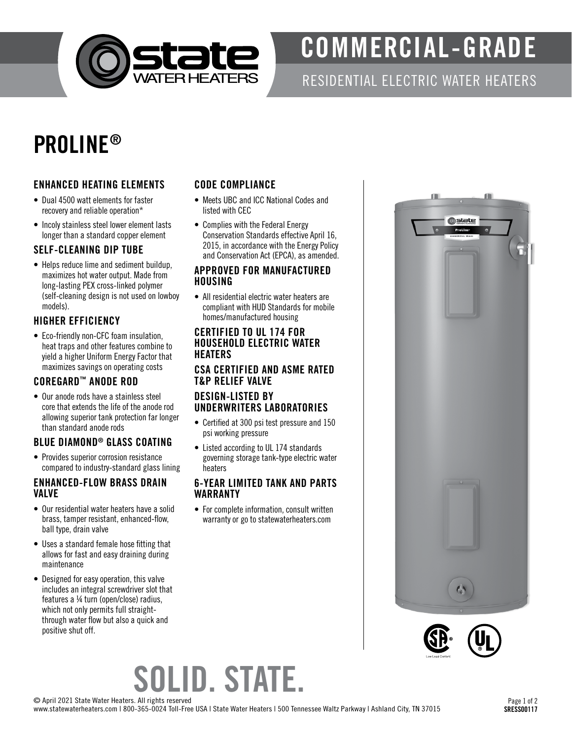

## COMMERCIAL-GRADE

RESIDENTIAL ELECTRIC WATER HEATERS

### PROLINE®

#### ENHANCED HEATING ELEMENTS

- Dual 4500 watt elements for faster recovery and reliable operation\*
- Incoly stainless steel lower element lasts longer than a standard copper element

#### SELF-CLEANING DIP TUBE

• Helps reduce lime and sediment buildup, maximizes hot water output. Made from long-lasting PEX cross-linked polymer (self-cleaning design is not used on lowboy models).

#### HIGHER EFFICIENCY

• Eco-friendly non-CFC foam insulation, heat traps and other features combine to yield a higher Uniform Energy Factor that maximizes savings on operating costs

#### COREGARD™ ANODE ROD

• Our anode rods have a stainless steel core that extends the life of the anode rod allowing superior tank protection far longer than standard anode rods

#### BLUE DIAMOND® GLASS COATING

• Provides superior corrosion resistance compared to industry-standard glass lining

#### ENHANCED-FLOW BRASS DRAIN VALVE

- Our residential water heaters have a solid brass, tamper resistant, enhanced-flow, ball type, drain valve
- Uses a standard female hose fitting that allows for fast and easy draining during maintenance
- Designed for easy operation, this valve includes an integral screwdriver slot that features a ¼ turn (open/close) radius, which not only permits full straightthrough water flow but also a quick and positive shut off.

#### CODE COMPLIANCE

- Meets UBC and ICC National Codes and listed with CEC
- Complies with the Federal Energy Conservation Standards effective April 16, 2015, in accordance with the Energy Policy and Conservation Act (EPCA), as amended.

#### APPROVED FOR MANUFACTURED HOUSING

• All residential electric water heaters are compliant with HUD Standards for mobile homes/manufactured housing

#### CERTIFIED TO UL 174 FOR HOUSEHOLD ELECTRIC WATER **HEATERS**

#### CSA CERTIFIED AND ASME RATED T&P RELIEF VALVE

#### DESIGN-LISTED BY UNDERWRITERS LABORATORIES

- Certified at 300 psi test pressure and 150 psi working pressure
- Listed according to UL 174 standards governing storage tank-type electric water heaters

#### 6-YEAR LIMITED TANK AND PARTS WARRANTY

• For complete information, consult written warranty or go to statewaterheaters.com





# SOLID. STATE.